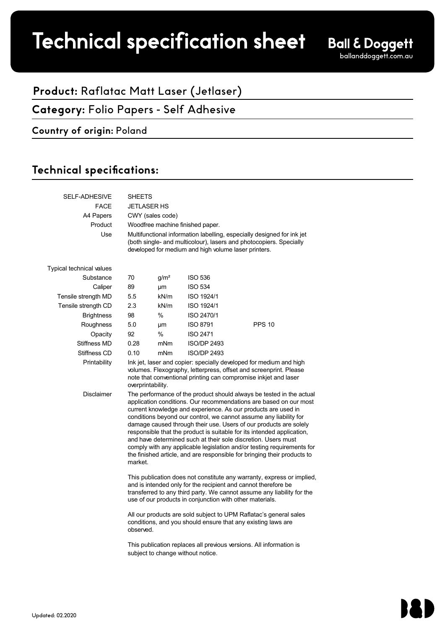# Technical specification sheet

## **Product:** Raflatac Matt Laser (Jetlaser)

**Category:** Folio Papers - Self Adhesive

#### **Country of origin:** Poland

### Technical specifications:

| SELF-ADHESIVE            | <b>SHEETS</b>                                                                                                                                                                                                                                                                                                                                                                                                                                                                                                                                                                                                                                                    |                  |                    |               |  |  |
|--------------------------|------------------------------------------------------------------------------------------------------------------------------------------------------------------------------------------------------------------------------------------------------------------------------------------------------------------------------------------------------------------------------------------------------------------------------------------------------------------------------------------------------------------------------------------------------------------------------------------------------------------------------------------------------------------|------------------|--------------------|---------------|--|--|
| <b>FACE</b>              | <b>JETLASER HS</b>                                                                                                                                                                                                                                                                                                                                                                                                                                                                                                                                                                                                                                               |                  |                    |               |  |  |
| A4 Papers<br>Product     | CWY (sales code)                                                                                                                                                                                                                                                                                                                                                                                                                                                                                                                                                                                                                                                 |                  |                    |               |  |  |
|                          | Woodfree machine finished paper.                                                                                                                                                                                                                                                                                                                                                                                                                                                                                                                                                                                                                                 |                  |                    |               |  |  |
| Use                      | Multifunctional information labelling, especially designed for ink jet<br>(both single- and multicolour), lasers and photocopiers. Specially<br>developed for medium and high volume laser printers.                                                                                                                                                                                                                                                                                                                                                                                                                                                             |                  |                    |               |  |  |
| Typical technical values |                                                                                                                                                                                                                                                                                                                                                                                                                                                                                                                                                                                                                                                                  |                  |                    |               |  |  |
| Substance                | 70                                                                                                                                                                                                                                                                                                                                                                                                                                                                                                                                                                                                                                                               | g/m <sup>2</sup> | <b>ISO 536</b>     |               |  |  |
| Caliper                  | 89                                                                                                                                                                                                                                                                                                                                                                                                                                                                                                                                                                                                                                                               | μm               | <b>ISO 534</b>     |               |  |  |
| Tensile strength MD      | 5.5                                                                                                                                                                                                                                                                                                                                                                                                                                                                                                                                                                                                                                                              | kN/m             | ISO 1924/1         |               |  |  |
| Tensile strength CD      | 2.3                                                                                                                                                                                                                                                                                                                                                                                                                                                                                                                                                                                                                                                              | kN/m             | ISO 1924/1         |               |  |  |
| <b>Brightness</b>        | 98                                                                                                                                                                                                                                                                                                                                                                                                                                                                                                                                                                                                                                                               | %                | ISO 2470/1         |               |  |  |
| Roughness                | 5.0                                                                                                                                                                                                                                                                                                                                                                                                                                                                                                                                                                                                                                                              | μm               | <b>ISO 8791</b>    | <b>PPS 10</b> |  |  |
| Opacity                  | 92                                                                                                                                                                                                                                                                                                                                                                                                                                                                                                                                                                                                                                                               | $\%$             | <b>ISO 2471</b>    |               |  |  |
| Stiffness MD             | 0.28                                                                                                                                                                                                                                                                                                                                                                                                                                                                                                                                                                                                                                                             | mNm              | <b>ISO/DP 2493</b> |               |  |  |
| Stiffness CD             | 0.10                                                                                                                                                                                                                                                                                                                                                                                                                                                                                                                                                                                                                                                             | mNm              | <b>ISO/DP 2493</b> |               |  |  |
| Printability             | Ink jet, laser and copier: specially developed for medium and high<br>volumes. Flexography, letterpress, offset and screenprint. Please<br>note that conventional printing can compromise inkjet and laser<br>overprintability.                                                                                                                                                                                                                                                                                                                                                                                                                                  |                  |                    |               |  |  |
| Disclaimer               | The performance of the product should always be tested in the actual<br>application conditions. Our recommendations are based on our most<br>current knowledge and experience. As our products are used in<br>conditions beyond our control, we cannot assume any liability for<br>damage caused through their use. Users of our products are solely<br>responsible that the product is suitable for its intended application,<br>and have determined such at their sole discretion. Users must<br>comply with any applicable legislation and/or testing requirements for<br>the finished article, and are responsible for bringing their products to<br>market. |                  |                    |               |  |  |
|                          | This publication does not constitute any warranty, express or implied,<br>and is intended only for the recipient and cannot therefore be<br>transferred to any third party. We cannot assume any liability for the<br>use of our products in conjunction with other materials.<br>All our products are sold subject to UPM Raflatac's general sales                                                                                                                                                                                                                                                                                                              |                  |                    |               |  |  |
|                          | conditions, and you should ensure that any existing laws are<br>This publication replaces all previous versions. All information is                                                                                                                                                                                                                                                                                                                                                                                                                                                                                                                              |                  |                    |               |  |  |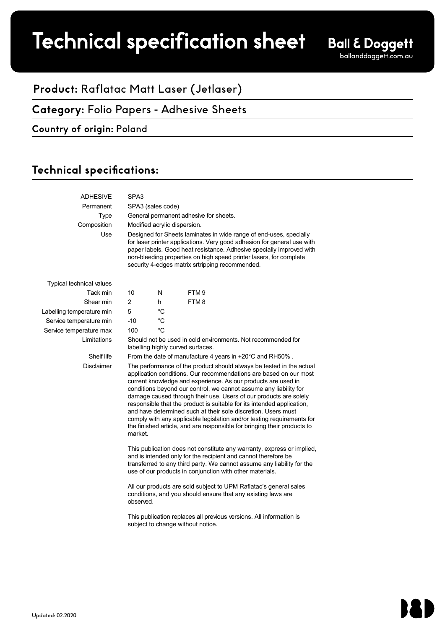# Technical specification sheet

## **Product:** Raflatac Matt Laser (Jetlaser)

**Category:** Folio Papers - Adhesive Sheets

#### **Country of origin:** Poland

### Technical specifications:

| <b>ADHESIVE</b>                 | SPA3                                                                                                                                                                                                                                                                                                                                                                                                                                                                                                                                                                                                                                                             |             |                  |  |  |
|---------------------------------|------------------------------------------------------------------------------------------------------------------------------------------------------------------------------------------------------------------------------------------------------------------------------------------------------------------------------------------------------------------------------------------------------------------------------------------------------------------------------------------------------------------------------------------------------------------------------------------------------------------------------------------------------------------|-------------|------------------|--|--|
| Permanent                       | SPA3 (sales code)                                                                                                                                                                                                                                                                                                                                                                                                                                                                                                                                                                                                                                                |             |                  |  |  |
| <b>Type</b>                     | General permanent adhesive for sheets.                                                                                                                                                                                                                                                                                                                                                                                                                                                                                                                                                                                                                           |             |                  |  |  |
| Composition                     | Modified acrylic dispersion.                                                                                                                                                                                                                                                                                                                                                                                                                                                                                                                                                                                                                                     |             |                  |  |  |
| Use                             | Designed for Sheets laminates in wide range of end-uses, specially<br>for laser printer applications. Very good adhesion for general use with<br>paper labels. Good heat resistance. Adhesive specially improved with<br>non-bleeding properties on high speed printer lasers, for complete<br>security 4-edges matrix srtripping recommended.                                                                                                                                                                                                                                                                                                                   |             |                  |  |  |
| <b>Typical technical values</b> |                                                                                                                                                                                                                                                                                                                                                                                                                                                                                                                                                                                                                                                                  |             |                  |  |  |
| Tack min                        | 10                                                                                                                                                                                                                                                                                                                                                                                                                                                                                                                                                                                                                                                               | N           | FTM <sub>9</sub> |  |  |
| Shear min                       | $\overline{c}$                                                                                                                                                                                                                                                                                                                                                                                                                                                                                                                                                                                                                                                   | h           | FTM8             |  |  |
| Labelling temperature min       | 5                                                                                                                                                                                                                                                                                                                                                                                                                                                                                                                                                                                                                                                                | °C          |                  |  |  |
| Service temperature min         | $-10$                                                                                                                                                                                                                                                                                                                                                                                                                                                                                                                                                                                                                                                            | $^{\circ}C$ |                  |  |  |
| Service temperature max         | 100                                                                                                                                                                                                                                                                                                                                                                                                                                                                                                                                                                                                                                                              | °C          |                  |  |  |
| Limitations                     | Should not be used in cold environments. Not recommended for<br>labelling highly curved surfaces.                                                                                                                                                                                                                                                                                                                                                                                                                                                                                                                                                                |             |                  |  |  |
| Shelf life                      | From the date of manufacture 4 years in +20°C and RH50%.                                                                                                                                                                                                                                                                                                                                                                                                                                                                                                                                                                                                         |             |                  |  |  |
| <b>Disclaimer</b>               | The performance of the product should always be tested in the actual<br>application conditions. Our recommendations are based on our most<br>current knowledge and experience. As our products are used in<br>conditions beyond our control, we cannot assume any liability for<br>damage caused through their use. Users of our products are solely<br>responsible that the product is suitable for its intended application,<br>and have determined such at their sole discretion. Users must<br>comply with any applicable legislation and/or testing requirements for<br>the finished article, and are responsible for bringing their products to<br>market. |             |                  |  |  |
|                                 | This publication does not constitute any warranty, express or implied,<br>and is intended only for the recipient and cannot therefore be<br>transferred to any third party. We cannot assume any liability for the<br>use of our products in conjunction with other materials.<br>All our products are sold subject to UPM Raflatac's general sales                                                                                                                                                                                                                                                                                                              |             |                  |  |  |
|                                 | conditions, and you should ensure that any existing laws are<br>observed.<br>This publication replaces all previous versions. All information is                                                                                                                                                                                                                                                                                                                                                                                                                                                                                                                 |             |                  |  |  |
|                                 | subject to change without notice.                                                                                                                                                                                                                                                                                                                                                                                                                                                                                                                                                                                                                                |             |                  |  |  |